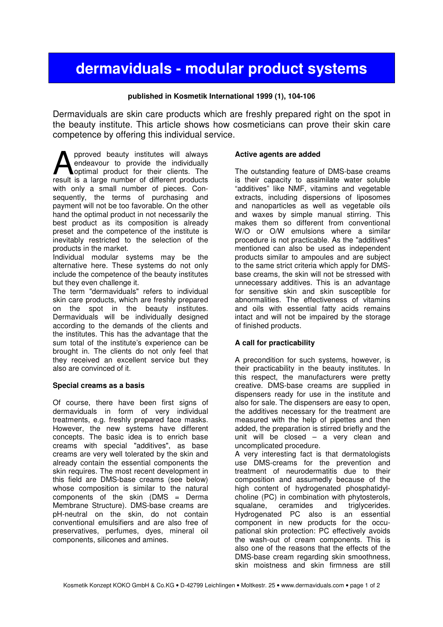# **dermaviduals - modular product systems**

## **published in Kosmetik International 1999 (1), 104-106**

Dermaviduals are skin care products which are freshly prepared right on the spot in the beauty institute. This article shows how cosmeticians can prove their skin care competence by offering this individual service.

pproved beauty institutes will always endeavour to provide the individually optimal product for their clients. The **A** pproved beauty institutes will always<br>endeavour to provide the individually<br>result is a large number of different products with only a small number of pieces. Consequently, the terms of purchasing and payment will not be too favorable. On the other hand the optimal product in not necessarily the best product as its composition is already preset and the competence of the institute is inevitably restricted to the selection of the products in the market.

Individual modular systems may be the alternative here. These systems do not only include the competence of the beauty institutes but they even challenge it.

The term "dermaviduals" refers to individual skin care products, which are freshly prepared on the spot in the beauty institutes. Dermaviduals will be individually designed according to the demands of the clients and the institutes. This has the advantage that the sum total of the institute's experience can be brought in. The clients do not only feel that they received an excellent service but they also are convinced of it.

#### **Special creams as a basis**

Of course, there have been first signs of dermaviduals in form of very individual treatments, e.g. freshly prepared face masks. However, the new systems have different concepts. The basic idea is to enrich base creams with special "additives", as base creams are very well tolerated by the skin and already contain the essential components the skin requires. The most recent development in this field are DMS-base creams (see below) whose composition is similar to the natural components of the skin (DMS = Derma Membrane Structure). DMS-base creams are pH-neutral on the skin, do not contain conventional emulsifiers and are also free of preservatives, perfumes, dyes, mineral oil components, silicones and amines.

#### **Active agents are added**

The outstanding feature of DMS-base creams is their capacity to assimilate water soluble "additives" like NMF, vitamins and vegetable extracts, including dispersions of liposomes and nanoparticles as well as vegetable oils and waxes by simple manual stirring. This makes them so different from conventional W/O or O/W emulsions where a similar procedure is not practicable. As the "additives" mentioned can also be used as independent products similar to ampoules and are subject to the same strict criteria which apply for DMSbase creams, the skin will not be stressed with unnecessary additives. This is an advantage for sensitive skin and skin susceptible for abnormalities. The effectiveness of vitamins and oils with essential fatty acids remains intact and will not be impaired by the storage of finished products.

# **A call for practicability**

A precondition for such systems, however, is their practicability in the beauty institutes. In this respect, the manufacturers were pretty creative. DMS-base creams are supplied in dispensers ready for use in the institute and also for sale. The dispensers are easy to open, the additives necessary for the treatment are measured with the help of pipettes and then added, the preparation is stirred briefly and the unit will be closed – a very clean and uncomplicated procedure.

A very interesting fact is that dermatologists use DMS-creams for the prevention and treatment of neurodermatitis due to their composition and assumedly because of the high content of hydrogenated phosphatidylcholine (PC) in combination with phytosterols, squalane, ceramides and triglycerides. Hydrogenated PC also is an essential component in new products for the occupational skin protection: PC effectively avoids the wash-out of cream components. This is also one of the reasons that the effects of the DMS-base cream regarding skin smoothness, skin moistness and skin firmness are still